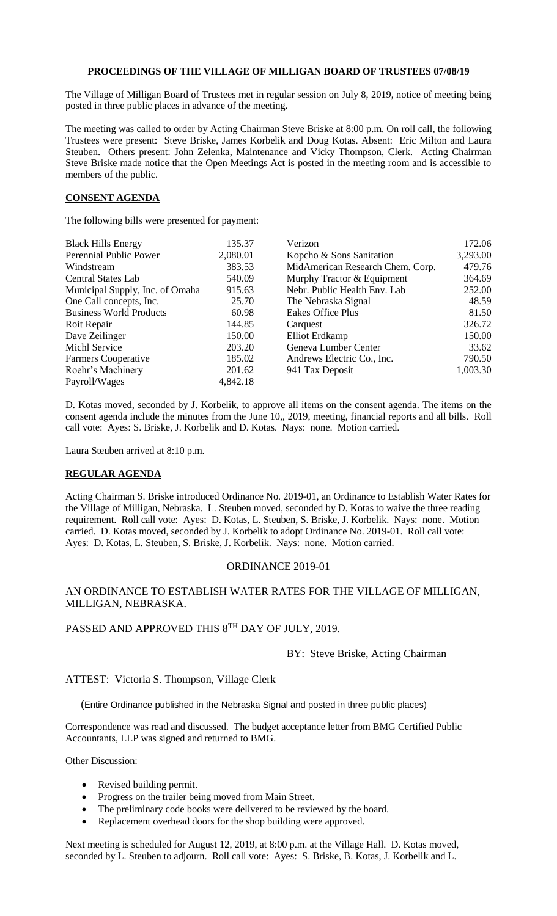### **PROCEEDINGS OF THE VILLAGE OF MILLIGAN BOARD OF TRUSTEES 07/08/19**

The Village of Milligan Board of Trustees met in regular session on July 8, 2019, notice of meeting being posted in three public places in advance of the meeting.

The meeting was called to order by Acting Chairman Steve Briske at 8:00 p.m. On roll call, the following Trustees were present: Steve Briske, James Korbelik and Doug Kotas. Absent: Eric Milton and Laura Steuben. Others present: John Zelenka, Maintenance and Vicky Thompson, Clerk. Acting Chairman Steve Briske made notice that the Open Meetings Act is posted in the meeting room and is accessible to members of the public.

#### **CONSENT AGENDA**

The following bills were presented for payment:

| <b>Black Hills Energy</b>       | 135.37   | Verizon                          | 172.06   |
|---------------------------------|----------|----------------------------------|----------|
| Perennial Public Power          | 2,080.01 | Kopcho & Sons Sanitation         | 3,293.00 |
| Windstream                      | 383.53   | MidAmerican Research Chem. Corp. | 479.76   |
| <b>Central States Lab</b>       | 540.09   | Murphy Tractor & Equipment       | 364.69   |
| Municipal Supply, Inc. of Omaha | 915.63   | Nebr. Public Health Env. Lab     | 252.00   |
| One Call concepts, Inc.         | 25.70    | The Nebraska Signal              | 48.59    |
| <b>Business World Products</b>  | 60.98    | <b>Eakes Office Plus</b>         | 81.50    |
| Roit Repair                     | 144.85   | Carquest                         | 326.72   |
| Dave Zeilinger                  | 150.00   | Elliot Erdkamp                   | 150.00   |
| Michl Service                   | 203.20   | Geneva Lumber Center             | 33.62    |
| <b>Farmers Cooperative</b>      | 185.02   | Andrews Electric Co., Inc.       | 790.50   |
| Roehr's Machinery               | 201.62   | 941 Tax Deposit                  | 1,003.30 |
| Payroll/Wages                   | 4,842.18 |                                  |          |

D. Kotas moved, seconded by J. Korbelik, to approve all items on the consent agenda. The items on the consent agenda include the minutes from the June 10,, 2019, meeting, financial reports and all bills. Roll call vote: Ayes: S. Briske, J. Korbelik and D. Kotas. Nays: none. Motion carried.

Laura Steuben arrived at 8:10 p.m.

#### **REGULAR AGENDA**

Acting Chairman S. Briske introduced Ordinance No. 2019-01, an Ordinance to Establish Water Rates for the Village of Milligan, Nebraska. L. Steuben moved, seconded by D. Kotas to waive the three reading requirement. Roll call vote: Ayes: D. Kotas, L. Steuben, S. Briske, J. Korbelik. Nays: none. Motion carried. D. Kotas moved, seconded by J. Korbelik to adopt Ordinance No. 2019-01. Roll call vote: Ayes: D. Kotas, L. Steuben, S. Briske, J. Korbelik. Nays: none. Motion carried.

#### ORDINANCE 2019-01

## AN ORDINANCE TO ESTABLISH WATER RATES FOR THE VILLAGE OF MILLIGAN, MILLIGAN, NEBRASKA.

# PASSED AND APPROVED THIS 8TH DAY OF JULY, 2019.

BY: Steve Briske, Acting Chairman

ATTEST: Victoria S. Thompson, Village Clerk

(Entire Ordinance published in the Nebraska Signal and posted in three public places)

Correspondence was read and discussed. The budget acceptance letter from BMG Certified Public Accountants, LLP was signed and returned to BMG.

Other Discussion:

- Revised building permit.
- Progress on the trailer being moved from Main Street.
- The preliminary code books were delivered to be reviewed by the board.
- Replacement overhead doors for the shop building were approved.

Next meeting is scheduled for August 12, 2019, at 8:00 p.m. at the Village Hall. D. Kotas moved, seconded by L. Steuben to adjourn. Roll call vote: Ayes: S. Briske, B. Kotas, J. Korbelik and L.